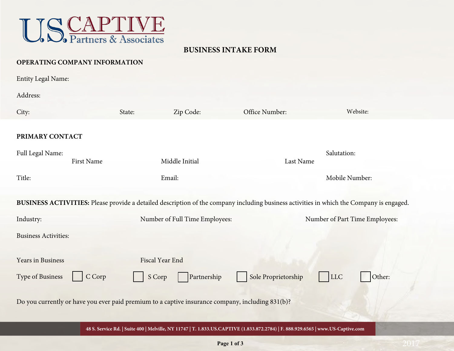

## **BUSINESS INTAKE FORM**

#### **OPERATING COMPANY INFORMATION**

| <b>Entity Legal Name:</b>                                                                                                                |                   |                     |                                |                     |                                |  |  |
|------------------------------------------------------------------------------------------------------------------------------------------|-------------------|---------------------|--------------------------------|---------------------|--------------------------------|--|--|
| Address:                                                                                                                                 |                   |                     |                                |                     |                                |  |  |
| City:                                                                                                                                    |                   | Zip Code:<br>State: |                                | Office Number:      | Website:                       |  |  |
| PRIMARY CONTACT                                                                                                                          |                   |                     |                                |                     |                                |  |  |
| Full Legal Name:                                                                                                                         | <b>First Name</b> | Middle Initial      |                                |                     | Salutation:<br>Last Name       |  |  |
| Title:                                                                                                                                   |                   | Email:              |                                |                     | Mobile Number:                 |  |  |
| BUSINESS ACTIVITIES: Please provide a detailed description of the company including business activities in which the Company is engaged. |                   |                     |                                |                     |                                |  |  |
| Industry:                                                                                                                                |                   |                     | Number of Full Time Employees: |                     | Number of Part Time Employees: |  |  |
| <b>Business Activities:</b>                                                                                                              |                   |                     |                                |                     |                                |  |  |
| Years in Business                                                                                                                        |                   | Fiscal Year End     |                                |                     |                                |  |  |
| Type of Business                                                                                                                         | C Corp            | S Corp              | Partnership                    | Sole Proprietorship | LLC<br>Other:                  |  |  |
| Do you currently or have you ever paid premium to a captive insurance company, including 831(b)?                                         |                   |                     |                                |                     |                                |  |  |
| 48 S. Service Rd.   Suite 400   Melville, NY 11747   T. 1.833.US.CAPTIVE (1.833.872.2784)   F. 888.929.6565   www.US-Captive.com         |                   |                     |                                |                     |                                |  |  |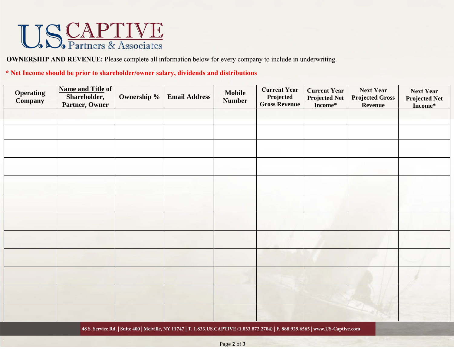# USCAPTIVE

**OWNERSHIP AND REVENUE:** Please complete all information below for every company to include in underwriting.

#### **\* Net Income should be prior to shareholder/owner salary, dividends and distributions**

| <b>Operating</b><br>Company                                                                                                      | <b>Name and Title of</b><br>Shareholder,<br>Partner, Owner | Ownership % | <b>Email Address</b> | <b>Mobile</b><br><b>Number</b> | <b>Current Year</b><br>Projected<br><b>Gross Revenue</b> | <b>Current Year</b><br><b>Projected Net</b><br>Income* | <b>Next Year</b><br><b>Projected Gross</b><br><b>Revenue</b> | <b>Next Year</b><br><b>Projected Net</b><br>Income* |
|----------------------------------------------------------------------------------------------------------------------------------|------------------------------------------------------------|-------------|----------------------|--------------------------------|----------------------------------------------------------|--------------------------------------------------------|--------------------------------------------------------------|-----------------------------------------------------|
|                                                                                                                                  |                                                            |             |                      |                                |                                                          |                                                        |                                                              |                                                     |
|                                                                                                                                  |                                                            |             |                      |                                |                                                          |                                                        |                                                              |                                                     |
|                                                                                                                                  |                                                            |             |                      |                                |                                                          |                                                        |                                                              |                                                     |
|                                                                                                                                  |                                                            |             |                      |                                |                                                          |                                                        |                                                              |                                                     |
|                                                                                                                                  |                                                            |             |                      |                                |                                                          |                                                        |                                                              |                                                     |
|                                                                                                                                  |                                                            |             |                      |                                |                                                          |                                                        |                                                              |                                                     |
|                                                                                                                                  |                                                            |             |                      |                                |                                                          |                                                        |                                                              |                                                     |
|                                                                                                                                  |                                                            |             |                      |                                |                                                          |                                                        |                                                              |                                                     |
|                                                                                                                                  |                                                            |             |                      |                                |                                                          |                                                        |                                                              |                                                     |
|                                                                                                                                  |                                                            |             |                      |                                |                                                          |                                                        |                                                              |                                                     |
|                                                                                                                                  |                                                            |             |                      |                                |                                                          |                                                        |                                                              |                                                     |
|                                                                                                                                  |                                                            |             |                      |                                |                                                          |                                                        |                                                              |                                                     |
| 48 S. Service Rd.   Suite 400   Melville, NY 11747   T. 1.833.US.CAPTIVE (1.833.872.2784)   F. 888.929.6565   www.US-Captive.com |                                                            |             |                      |                                |                                                          |                                                        |                                                              |                                                     |